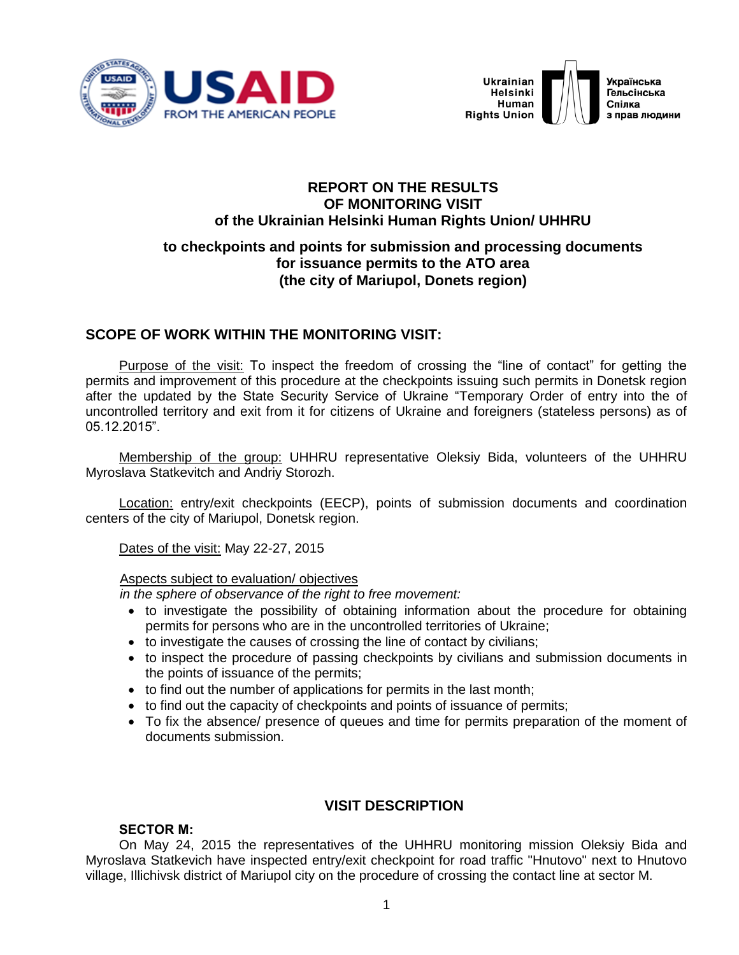



### **REPORT ON THE RESULTS OF MONITORING VISIT of the Ukrainian Helsinki Human Rights Union/ UHHRU**

# **to checkpoints and points for submission and processing documents for issuance permits to the ATO area (the city of Mariupol, Donets region)**

# **SCOPE OF WORK WITHIN THE MONITORING VISIT:**

Purpose of the visit: To inspect the freedom of crossing the "line of contact" for getting the permits and improvement of this procedure at the checkpoints issuing such permits in Donetsk region after the updated by the State Security Service of Ukraine "Temporary Order of entry into the of uncontrolled territory and exit from it for citizens of Ukraine and foreigners (stateless persons) as of 05.12.2015".

Membership of the group: UHHRU representative Oleksiy Bida, volunteers of the UHHRU Myroslava Statkevitch and Andriy Storozh.

Location: entry/exit checkpoints (EECP), points of submission documents and coordination centers of the city of Mariupol, Donetsk region.

Dates of the visit: May 22-27, 2015

### Aspects subject to evaluation/ objectives

*in the sphere of observance of the right to free movement:* 

- to investigate the possibility of obtaining information about the procedure for obtaining permits for persons who are in the uncontrolled territories of Ukraine;
- to investigate the causes of crossing the line of contact by civilians;
- to inspect the procedure of passing checkpoints by civilians and submission documents in the points of issuance of the permits;
- to find out the number of applications for permits in the last month;
- to find out the capacity of checkpoints and points of issuance of permits;
- To fix the absence/ presence of queues and time for permits preparation of the moment of documents submission.

# **VISIT DESCRIPTION**

### **SECTOR М:**

On May 24, 2015 the representatives of the UHHRU monitoring mission Oleksiy Bida and Myroslava Statkevich have inspected entry/exit checkpoint for road traffic "Hnutovo" next to Hnutovo village, Illichivsk district of Mariupol city on the procedure of crossing the contact line at sector M.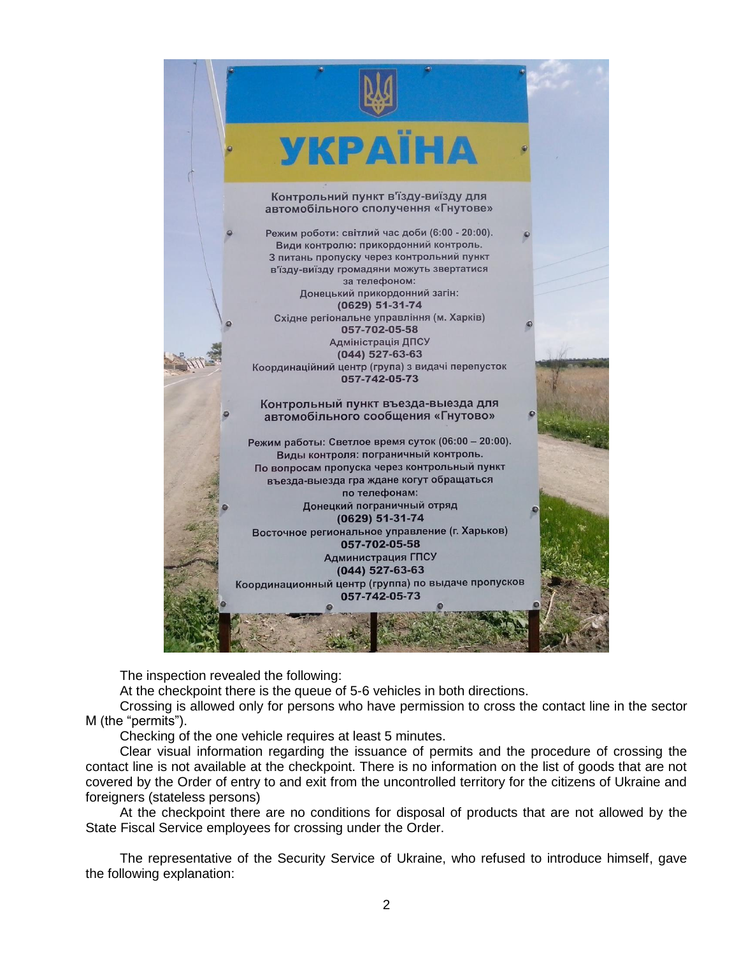

The inspection revealed the following:

At the checkpoint there is the queue of 5-6 vehicles in both directions.

Crossing is allowed only for persons who have permission to cross the contact line in the sector M (the "permits").

Checking of the one vehicle requires at least 5 minutes.

Clear visual information regarding the issuance of permits and the procedure of crossing the contact line is not available at the checkpoint. There is no information on the list of goods that are not covered by the Order of entry to and exit from the uncontrolled territory for the citizens of Ukraine and foreigners (stateless persons)

At the checkpoint there are no conditions for disposal of products that are not allowed by the State Fiscal Service employees for crossing under the Order.

The representative of the Security Service of Ukraine, who refused to introduce himself, gave the following explanation: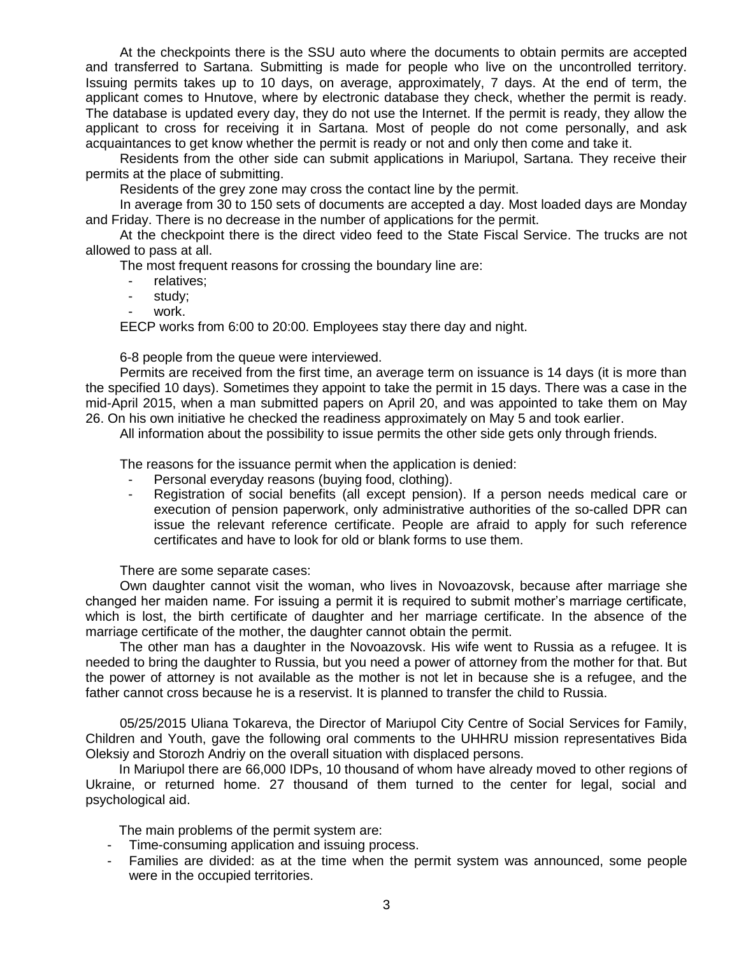At the checkpoints there is the SSU auto where the documents to obtain permits are accepted and transferred to Sartana. Submitting is made for people who live on the uncontrolled territory. Issuing permits takes up to 10 days, on average, approximately, 7 days. At the end of term, the applicant comes to Hnutove, where by electronic database they check, whether the permit is ready. The database is updated every day, they do not use the Internet. If the permit is ready, they allow the applicant to cross for receiving it in Sartana. Most of people do not come personally, and ask acquaintances to get know whether the permit is ready or not and only then come and take it.

Residents from the other side can submit applications in Mariupol, Sartana. They receive their permits at the place of submitting.

Residents of the grey zone may cross the contact line by the permit.

In average from 30 to 150 sets of documents are accepted a day. Most loaded days are Monday and Friday. There is no decrease in the number of applications for the permit.

At the checkpoint there is the direct video feed to the State Fiscal Service. The trucks are not allowed to pass at all.

The most frequent reasons for crossing the boundary line are:

- relatives;
- study;
- work.

EECP works from 6:00 to 20:00. Employees stay there day and night.

6-8 people from the queue were interviewed.

Permits are received from the first time, an average term on issuance is 14 days (it is more than the specified 10 days). Sometimes they appoint to take the permit in 15 days. There was a case in the mid-April 2015, when a man submitted papers on April 20, and was appointed to take them on May 26. On his own initiative he checked the readiness approximately on May 5 and took earlier.

All information about the possibility to issue permits the other side gets only through friends.

The reasons for the issuance permit when the application is denied:

- Personal everyday reasons (buying food, clothing).
- Registration of social benefits (all except pension). If a person needs medical care or execution of pension paperwork, only administrative authorities of the so-called DPR can issue the relevant reference certificate. People are afraid to apply for such reference certificates and have to look for old or blank forms to use them.

There are some separate cases:

Own daughter cannot visit the woman, who lives in Novoazovsk, because after marriage she changed her maiden name. For issuing a permit it is required to submit mother's marriage certificate, which is lost, the birth certificate of daughter and her marriage certificate. In the absence of the marriage certificate of the mother, the daughter cannot obtain the permit.

The other man has a daughter in the Novoazovsk. His wife went to Russia as a refugee. It is needed to bring the daughter to Russia, but you need a power of attorney from the mother for that. But the power of attorney is not available as the mother is not let in because she is a refugee, and the father cannot cross because he is a reservist. It is planned to transfer the child to Russia.

05/25/2015 Uliana Tokareva, the Director of Mariupol City Centre of Social Services for Family, Children and Youth, gave the following oral comments to the UHHRU mission representatives Bida Oleksiy and Storozh Andriy on the overall situation with displaced persons.

In Mariupol there are 66,000 IDPs, 10 thousand of whom have already moved to other regions of Ukraine, or returned home. 27 thousand of them turned to the center for legal, social and psychological aid.

The main problems of the permit system are:

- Time-consuming application and issuing process.
- Families are divided: as at the time when the permit system was announced, some people were in the occupied territories.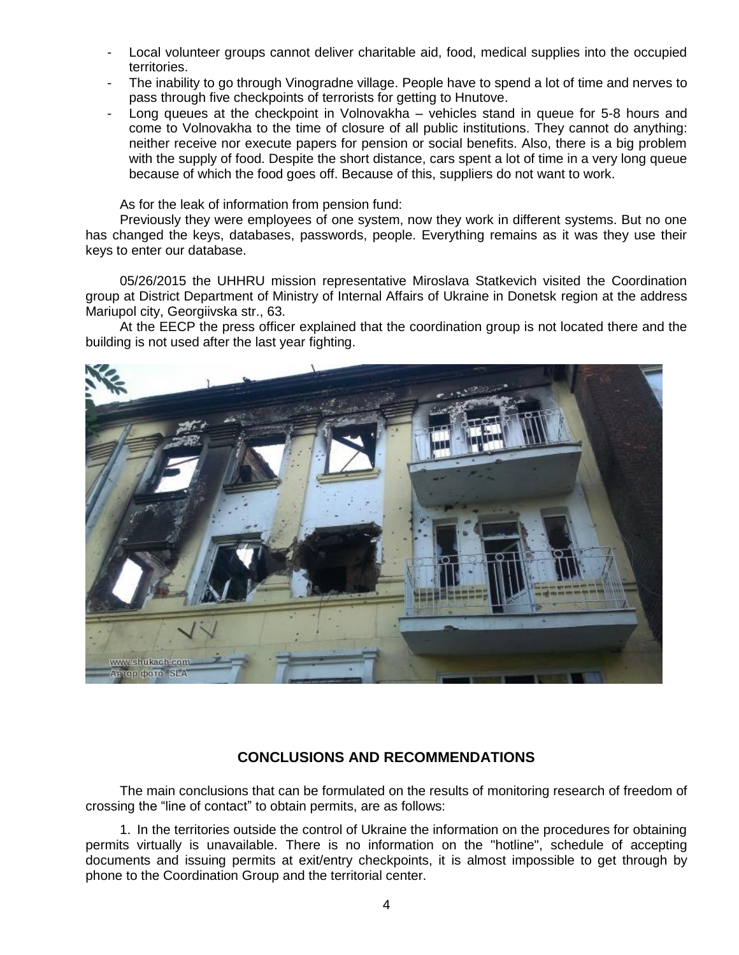- Local volunteer groups cannot deliver charitable aid, food, medical supplies into the occupied territories.
- The inability to go through Vinogradne village. People have to spend a lot of time and nerves to pass through five checkpoints of terrorists for getting to Hnutove.
- Long queues at the checkpoint in Volnovakha vehicles stand in queue for 5-8 hours and come to Volnovakha to the time of closure of all public institutions. They cannot do anything: neither receive nor execute papers for pension or social benefits. Also, there is a big problem with the supply of food. Despite the short distance, cars spent a lot of time in a very long queue because of which the food goes off. Because of this, suppliers do not want to work.

As for the leak of information from pension fund:

Previously they were employees of one system, now they work in different systems. But no one has changed the keys, databases, passwords, people. Everything remains as it was they use their keys to enter our database.

05/26/2015 the UHHRU mission representative Miroslava Statkevich visited the Coordination group at District Department of Ministry of Internal Affairs of Ukraine in Donetsk region at the address Mariupol city, Georgiivska str., 63.

At the EECP the press officer explained that the coordination group is not located there and the building is not used after the last year fighting.



# **CONCLUSIONS AND RECOMMENDATIONS**

The main conclusions that can be formulated on the results of monitoring research of freedom of crossing the "line of contact" to obtain permits, are as follows:

1. In the territories outside the control of Ukraine the information on the procedures for obtaining permits virtually is unavailable. There is no information on the "hotline", schedule of accepting documents and issuing permits at exit/entry checkpoints, it is almost impossible to get through by phone to the Coordination Group and the territorial center.